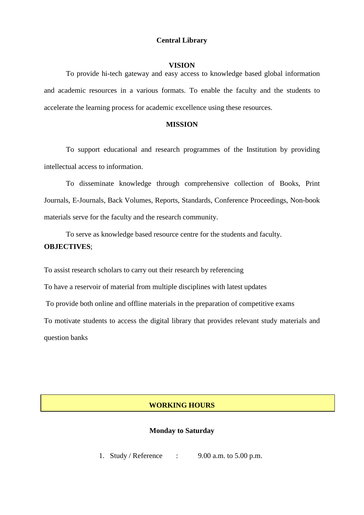## **Central Library**

#### **VISION**

To provide hi-tech gateway and easy access to knowledge based global information and academic resources in a various formats. To enable the faculty and the students to accelerate the learning process for academic excellence using these resources.

#### **MISSION**

To support educational and research programmes of the Institution by providing intellectual access to information.

To disseminate knowledge through comprehensive collection of Books, Print Journals, E-Journals, Back Volumes, Reports, Standards, Conference Proceedings, Non-book materials serve for the faculty and the research community.

To serve as knowledge based resource centre for the students and faculty. **OBJECTIVES**;

To assist research scholars to carry out their research by referencing

To have a reservoir of material from multiple disciplines with latest updates

To provide both online and offline materials in the preparation of competitive exams

To motivate students to access the digital library that provides relevant study materials and question banks

## **WORKING HOURS**

#### **Monday to Saturday**

1. Study / Reference : 9.00 a.m. to 5.00 p.m.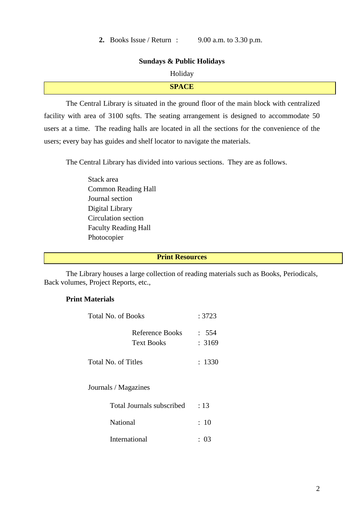#### **Sundays & Public Holidays**

#### Holiday

| $\sim$ $\sim$ $\sim$ $\sim$<br>$V = V$ |  |
|----------------------------------------|--|
|                                        |  |

The Central Library is situated in the ground floor of the main block with centralized facility with area of 3100 sqfts. The seating arrangement is designed to accommodate 50 users at a time. The reading halls are located in all the sections for the convenience of the users; every bay has guides and shelf locator to navigate the materials.

The Central Library has divided into various sections. They are as follows.

Stack area Common Reading Hall Journal section Digital Library Circulation section Faculty Reading Hall Photocopier

## **Print Resources**

The Library houses a large collection of reading materials such as Books, Periodicals, Back volumes, Project Reports, etc.,

## **Print Materials**

| Total No. of Books                   | : 3723          |  |
|--------------------------------------|-----------------|--|
| Reference Books<br><b>Text Books</b> | : 554<br>: 3169 |  |
| Total No. of Titles                  | : 1330          |  |

Journals / Magazines

| Total Journals subscribed | $\div$ 13 |
|---------------------------|-----------|
| National                  | $\div$ 10 |
| International             | : 03      |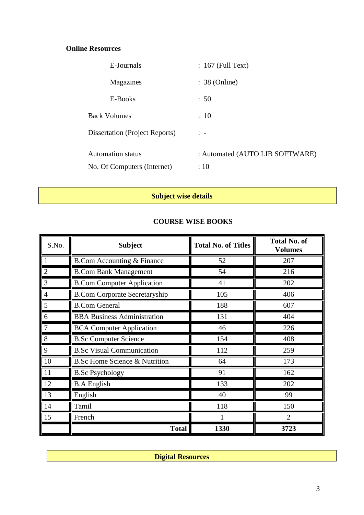# **Online Resources**

| E-Journals                            | $: 167$ (Full Text)             |
|---------------------------------------|---------------------------------|
| Magazines                             | $: 38$ (Online)                 |
| E-Books                               | : 50                            |
| <b>Back Volumes</b>                   | : 10                            |
| <b>Dissertation (Project Reports)</b> | $\frac{1}{2}$ $\frac{1}{2}$     |
| <b>Automation status</b>              | : Automated (AUTO LIB SOFTWARE) |
| No. Of Computers (Internet)           | :10                             |

# **Subject wise details**

## **COURSE WISE BOOKS**

| S.No.          | <b>Subject</b>                           | <b>Total No. of Titles</b> | <b>Total No. of</b><br><b>Volumes</b> |
|----------------|------------------------------------------|----------------------------|---------------------------------------|
|                | <b>B.Com Accounting &amp; Finance</b>    | 52                         | 207                                   |
| $\overline{2}$ | <b>B.Com Bank Management</b>             | 54                         | 216                                   |
| 3              | <b>B.Com Computer Application</b>        | 41                         | 202                                   |
|                | <b>B.Com Corporate Secretaryship</b>     | 105                        | 406                                   |
| 5              | <b>B.Com General</b>                     | 188                        | 607                                   |
| 6              | <b>BBA Business Administration</b>       | 131                        | 404                                   |
| 7              | <b>BCA Computer Application</b>          | 46                         | 226                                   |
| 8              | <b>B.Sc Computer Science</b>             | 154                        | 408                                   |
| 9              | <b>B.Sc Visual Communication</b>         | 112                        | 259                                   |
| 10             | <b>B.Sc Home Science &amp; Nutrition</b> | 64                         | 173                                   |
| 11             | <b>B.Sc Psychology</b>                   | 91                         | 162                                   |
| 12             | <b>B.A English</b>                       | 133                        | 202                                   |
| 13             | English                                  | 40                         | 99                                    |
| 14             | Tamil                                    | 118                        | 150                                   |
| 15             | French                                   |                            | $\overline{2}$                        |
|                | <b>Total</b>                             | 1330                       | 3723                                  |

**Digital Resources**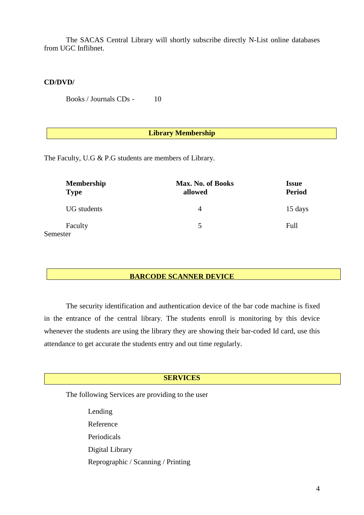The SACAS Central Library will shortly subscribe directly N-List online databases from UGC Inflibnet.

#### **CD/DVD/**

Books / Journals CDs - 10

#### **Library Membership**

The Faculty, U.G & P.G students are members of Library.

| <b>Membership</b><br><b>Type</b> | Max. No. of Books<br>allowed | <b>Issue</b><br><b>Period</b> |
|----------------------------------|------------------------------|-------------------------------|
| <b>UG</b> students               | 4                            | 15 days                       |
| Faculty<br>Semester              | 5                            | Full                          |

#### **BARCODE SCANNER DEVICE**

The security identification and authentication device of the bar code machine is fixed in the entrance of the central library. The students enroll is monitoring by this device whenever the students are using the library they are showing their bar-coded Id card, use this attendance to get accurate the students entry and out time regularly.

## **SERVICES**

The following Services are providing to the user

Lending Reference Periodicals Digital Library Reprographic / Scanning / Printing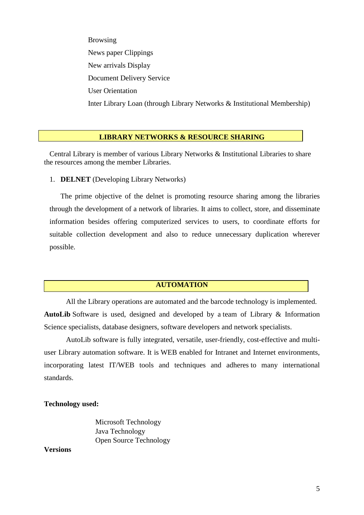Browsing News paper Clippings New arrivals Display Document Delivery Service User Orientation Inter Library Loan (through Library Networks & Institutional Membership)

#### **LIBRARY NETWORKS & RESOURCE SHARING**

 Central Library is member of various Library Networks & Institutional Libraries to share the resources among the member Libraries.

1. **DELNET** (Developing Library Networks)

The prime objective of the delnet is promoting resource sharing among the libraries through the development of a network of libraries. It aims to collect, store, and disseminate information besides offering computerized services to users, to coordinate efforts for suitable collection development and also to reduce unnecessary duplication wherever possible.

## **AUTOMATION**

All the Library operations are automated and the barcode technology is implemented. **AutoLib** Software is used, designed and developed by a team of Library & Information Science specialists, database designers, software developers and network specialists.

AutoLib software is fully integrated, versatile, user-friendly, cost-effective and multiuser Library automation software. It is WEB enabled for Intranet and Internet environments, incorporating latest IT/WEB tools and techniques and adheres to many international standards.

#### **Technology used:**

 Microsoft Technology Java Technology Open Source Technology

**Versions**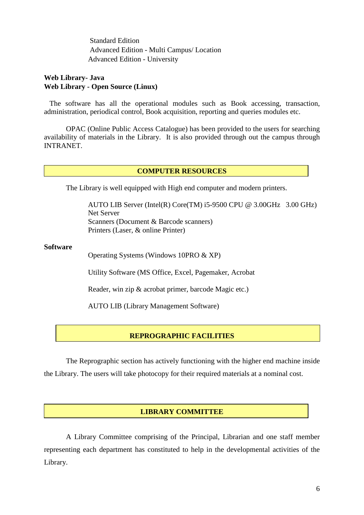Standard Edition Advanced Edition - Multi Campus/ Location Advanced Edition - University

## **Web Library- Java Web Library - Open Source (Linux)**

 The software has all the operational modules such as Book accessing, transaction, administration, periodical control, Book acquisition, reporting and queries modules etc.

OPAC (Online Public Access Catalogue) has been provided to the users for searching availability of materials in the Library. It is also provided through out the campus through INTRANET.

## **COMPUTER RESOURCES**

The Library is well equipped with High end computer and modern printers.

AUTO LIB Server (Intel(R) Core(TM) i5-9500 CPU @ 3.00GHz 3.00 GHz) Net Server Scanners (Document & Barcode scanners) Printers (Laser, & online Printer)

#### **Software**

Operating Systems (Windows 10PRO & XP)

Utility Software (MS Office, Excel, Pagemaker, Acrobat

Reader, win zip & acrobat primer, barcode Magic etc.)

AUTO LIB (Library Management Software)

## **REPROGRAPHIC FACILITIES**

The Reprographic section has actively functioning with the higher end machine inside the Library. The users will take photocopy for their required materials at a nominal cost.

## **LIBRARY COMMITTEE**

A Library Committee comprising of the Principal, Librarian and one staff member representing each department has constituted to help in the developmental activities of the Library.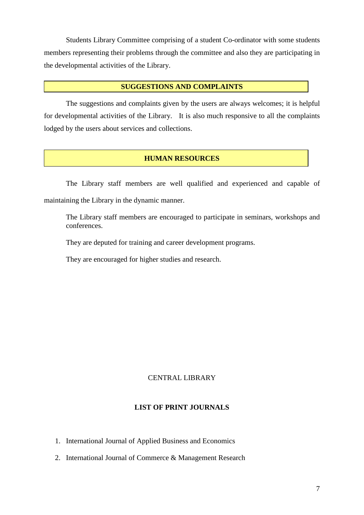Students Library Committee comprising of a student Co-ordinator with some students members representing their problems through the committee and also they are participating in the developmental activities of the Library.

## **SUGGESTIONS AND COMPLAINTS**

The suggestions and complaints given by the users are always welcomes; it is helpful for developmental activities of the Library. It is also much responsive to all the complaints lodged by the users about services and collections.

## **HUMAN RESOURCES**

The Library staff members are well qualified and experienced and capable of maintaining the Library in the dynamic manner.

The Library staff members are encouraged to participate in seminars, workshops and conferences.

They are deputed for training and career development programs.

They are encouraged for higher studies and research.

## CENTRAL LIBRARY

## **LIST OF PRINT JOURNALS**

- 1. International Journal of Applied Business and Economics
- 2. International Journal of Commerce & Management Research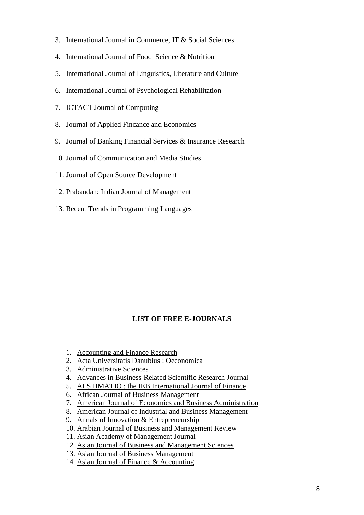- 3. International Journal in Commerce, IT & Social Sciences
- 4. International Journal of Food Science & Nutrition
- 5. International Journal of Linguistics, Literature and Culture
- 6. International Journal of Psychological Rehabilitation
- 7. ICTACT Journal of Computing
- 8. Journal of Applied Fincance and Economics
- 9. Journal of Banking Financial Services & Insurance Research
- 10. Journal of Communication and Media Studies
- 11. Journal of Open Source Development
- 12. Prabandan: Indian Journal of Management
- 13. Recent Trends in Programming Languages

## **LIST OF FREE E-JOURNALS**

- 1. [Accounting and Finance Research](http://www.sciedu.ca/afr)
- 2. [Acta Universitatis Danubius : Oeconomica](http://journals.univ-danubius.ro/index.php/oeconomica/index)
- 3. [Administrative Sciences](http://www.mdpi.com/journal/admsci)
- 4. [Advances in Business-Related Scientific Research Journal](http://www.absrc.org/index.php?option=com_content&view=article&id=70&Itemid=107)
- 5. [AESTIMATIO : the IEB International Journal of Finance](http://www.ieb.es/secc.aspx?idsec=1254)
- 6. [African Journal of Business Management](http://www.academicjournals.org/ajbm)
- 7. [American Journal of Economics and Business Administration](http://thescipub.com/ajeba.toc)
- 8. [American Journal of Industrial and Business Management](http://www.scirp.org/journal/AJIBM/)
- 9. [Annals of Innovation & Entrepreneurship](http://www.innovationandentrepreneurship.net/index.php/aie)
- 10. [Arabian Journal of Business and Management Review](http://www.arabianjbmr.com/)
- 11. [Asian Academy of Management Journal](http://www.usm.my/aamj/)
- 12. [Asian Journal of Business and Management Sciences](http://www.ajbms.org/)
- 13. [Asian Journal of Business Management](http://www.maxwellsci.com/jp/j2p.php?jid=AJBM)
- 14. [Asian Journal of Finance & Accounting](http://www.macrothink.org/journal/index.php/ajfa)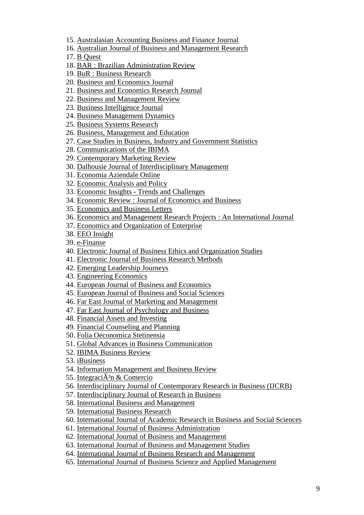- 15. [Australasian Accounting Business and Finance Journal](http://ro.uow.edu.au/aabfj/)
- 16. [Australian Journal of Business and Management Research](http://www.ajbmr.com/)
- 17. [B Quest](http://www.westga.edu/~bquest/)
- 18. [BAR : Brazilian Administration Review](http://www.scielo.br/scielo.php?script=sci_serial&pid=1807-7692&lng=en&nrm=iso)
- 19. [BuR : Business Research](http://www.business-research.org/)
- 20. [Business and Economics Journal](http://astonjournals.com/bej.html)
- 21. [Business and Economics Research Journal](http://www.berjournal.com/)
- 22. [Business and Management Review](http://www.bmr.businessjournalz.org/)
- 23. [Business Intelligence Journal](http://www.saycocorporativo.com/saycoUK/BIJ/journals.html)
- 24. [Business Management Dynamics](http://www.bmdynamics.com/)
- 25. [Business Systems Research](http://www.versita.com/bsr/)
- 26. [Business, Management and Education](http://www.bme.vgtu.lt/)
- 27. [Case Studies in Business, Industry and Government Statistics](http://www.bentley.edu/csbigs)
- 28. [Communications of the IBIMA](http://www.ibimapublishing.com/journals/CIBIMA/cibima.html)
- 29. [Contemporary Marketing Review](http://www.cmr.businessjournalz.org/)
- 30. [Dalhousie Journal of Interdisciplinary Management](http://djim.management.dal.ca/)
- 31. [Economia Aziendale Online](http://riviste.paviauniversitypress.it/index.php/ea/index)
- 32. [Economic Analysis and Policy](http://www.eap-journal.com/)
- 33. Economic Insights [Trends and Challenges](http://www.upg-bulletin-se.ro/)
- 34. [Economic Review : Journal of Economics and Business](http://www.ef.untz.ba/web/stranice/economic_review.htm)
- 35. [Economics and Business Letters](http://www.unioviedo.es/reunido/index.php/EBL)
- 36. [Economics and Management Research Projects : An International Journal](http://webapps.fep.up.pt/oaij/index.php/EMRP_IJ)
- 37. Economics and [Organization of Enterprise](http://versita.metapress.com/content/121132/)
- 38. [EEO Insight](http://www.eeoinsight.com/index.html)
- 39. [e-Finanse](http://www.e-finanse.com/)
- 40. [Electronic Journal of Business Ethics and Organization Studies](http://ejbo.jyu.fi/)
- 41. [Electronic Journal of Business Research Methods](http://www.ejbrm.com/)
- 42. [Emerging Leadership Journeys](http://www.regent.edu/acad/global/publications/elj/)
- 43. [Engineering Economics](http://internet.ktu.lt/en/inzeko/)
- 44. [European Journal of Business and Economics](http://economics.journals.cz/)
- 45. [European Journal of Business and Social Sciences](http://www.ejbss.com/)
- 46. [Far East Journal of Marketing and Management](http://www.fareastjournals.com/journal_detail.aspx?jid=22)
- 47. [Far East Journal of Psychology and Business](http://www.fareastjournals.com/journal_detail.aspx?jid=18)
- 48. [Financial Assets and Investing](http://fai.econ.muni.cz/)
- 49. [Financial Counseling and Planning](http://www.afcpe.org/publications/journal-articles.php)
- 50. [Folia Oeconomica Stetinensia](http://versita.metapress.com/content/120798/)
- 51. [Global Advances in Business Communication](http://commons.emich.edu/gabc/)
- 52. [IBIMA Business Review](http://www.ibimapublishing.com/journals/IBIMABR/ibimabr.html)
- 53. [iBusiness](http://www.scirp.org/journal/ib)
- 54. [Information Management and Business Review](http://www.ifrnd.org/journal_imbr.php)
- 55. Integraci $\tilde{A}^3$ n & Comercio
- 56. [Interdisciplinary Journal of Contemporary Research in Business \(IJCRB\)](http://www.ijcrb.webs.com/)
- 57. [Interdisciplinary Journal of Research in Business](http://www.idjrb.com/)
- 58. [International Business and Management](http://www.cscanada.net/index.php/ibm)
- 59. [International Business Research](http://ccsenet.org/journal/index.php/ibr/)
- 60. [International Journal of Academic Research in Business and Social Sciences](http://www.hrmars.com/index.php?page=ijarbss)
- 61. [International Journal of Business Administration](http://www.sciedu.ca/journal/index.php/ijba)
- 62. [International Journal of Business and Management](http://ccsenet.org/journal/index.php/ijbm/)
- 63. [International Journal of Business and Management Studies](http://www.sobiad.org/eJOURNALS/journal_IJBM/index.html)
- 64. [International Journal of Business Research and Management](http://www.cscjournals.org/csc/description.php?JCode=IJBRM)
- 65. [International Journal of Business Science and Applied Management](http://www.business-and-management.org/)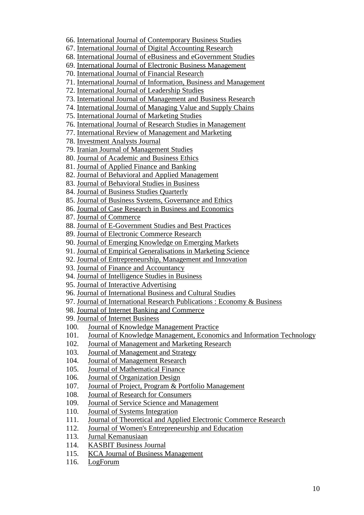- 66. [International Journal of Contemporary Business Studies](http://akpinsight.webs.com/researchpaperpublications.htm)
- 67. [International Journal of Digital Accounting Research](http://www.uhu.es/ijdar)
- 68. [International Journal of eBusiness and eGovernment Studies](http://www.sobiad.org/eJOURNALS/journal_IJEBEG/index.html)
- 69. [International Journal of Electronic Business Management](http://ijebm.ie.nthu.edu.tw/IJEBM_Web/index.htm)
- 70. [International Journal of Financial Research](http://www.sciedu.ca/journal/index.php/ijfr)
- 71. [International Journal of Information, Business and Management](http://ijibm.site666.com/)
- 72. [International Journal of Leadership Studies](http://www.regent.edu/ijls)
- 73. [International Journal of Management and Business Research](http://www.ijmbr.org/)
- 74. [International Journal of Managing Value and Supply Chains](http://airccse.org/journal/mvsc/ijmvsc.html)
- 75. [International Journal of Marketing Studies](http://www.ccsenet.org/journal/index.php/ijms/index)
- 76. [International Journal of Research Studies in Management](http://www.consortiacademia.org/index.php/ijrsm)
- 77. [International Review of Management and Marketing](http://econjournals.com/index.php/irmm)
- 78. [Investment Analysts Journal](http://www.iassa.co.za/journals/)
- 79. [Iranian Journal of Management Studies](http://www.ijms.ir/index.htm)
- 80. [Journal of Academic and Business Ethics](http://www.aabri.com/jabe.html)
- 81. [Journal of Applied Finance and Banking](http://www.scienpress.com/journal_focus.asp?Main_Id=56)
- 82. [Journal of Behavioral and Applied Management](http://www.ibam.com/jbam.html)
- 83. [Journal of Behavioral Studies in Business](http://www.aabri.com/jbsb.html)
- 84. [Journal of Business Studies Quarterly](http://jbsq.org/)
- 85. [Journal of Business Systems, Governance and Ethics](http://www.jbsge.vu.edu.au/)
- 86. [Journal of Case Research in Business and Economics](http://www.aabri.com/jcrbe.html)
- 87. [Journal of Commerce](http://www.joc.hcc.edu.pk/)
- 88. [Journal of E-Government Studies and Best Practices](http://www.ibimapublishing.com/journals/JEGSBP/jegsbp.html)
- 89. [Journal of Electronic Commerce Research](http://www.csulb.edu/journals/jecr/)
- 90. [Journal of Emerging Knowledge on Emerging Markets](http://digitalcommons.kennesaw.edu/jekem/)
- 91. [Journal of Empirical Generalisations in Marketing Science](http://www.empgens.com/)
- 92. [Journal of Entrepreneurship, Management and Innovation](http://www.jemi.edu.pl/)
- 93. [Journal of Finance and Accountancy](http://www.aabri.com/jfa.html)
- 94. [Journal of Intelligence Studies in Business](https://ojs.hh.se/index.php/JISIB)
- 95. [Journal of Interactive Advertising](http://jiad.org/)
- 96. [Journal of International Business and Cultural Studies](http://www.aabri.com/jibcs.html)
- 97. [Journal of International Research Publications : Economy & Business](http://www.economy-business.eu/index.htm)
- 98. [Journal of Internet Banking and Commerce](http://www.arraydev.com/commerce/jibc/)
- 99. [Journal of Internet Business](http://jib.debii.curtin.edu.au/)
- 100. [Journal of Knowledge Management](http://www.tlainc.com/jkmp.htm) Practice
- 101. [Journal of Knowledge Management, Economics and Information Technology](http://www.scientificpapers.org/)
- 102. [Journal of Management and Marketing Research](http://www.aabri.com/jmmr.html)
- 103. [Journal of Management and Strategy](http://www.sciedu.ca/journal/index.php/jms)
- 104. [Journal of Management Research](http://www.macrothink.org/journal/index.php/jmr/index)
- 105. [Journal of Mathematical Finance](http://www.scirp.org/journal/jmf/)
- 106. [Journal of Organization Design](http://ojs.statsbiblioteket.dk/index.php/jod)
- 107. [Journal of Project, Program & Portfolio Management](http://epress.lib.uts.edu.au/ojs/index.php/pppm/index)
- 108. [Journal of Research for Consumers](http://www.jrconsumers.com/)
- 109. [Journal of Service Science and Management](http://www.scirp.org/journal/jssm/)
- 110. [Journal of Systems Integration](http://www.si-journal.org/)
- 111. [Journal of Theoretical and Applied Electronic Commerce Research](http://www.jtaer.com/)
- 112. [Journal of Women's Entrepreneurship and Education](http://www.ien.bg.ac.rs/index.php?option=com_content&view=article&id=51&Itemid=13&lang=en)
- 113. [Jurnal Kemanusiaan](http://www.fppsm.utm.my/jurnal-kemanusiaan.html)
- 114. [KASBIT Business Journal](http://www.kasbit.edu.pk/Journal/kasbitbusinessJournalvol.htm)
- 115. [KCA Journal of Business Management](http://www.kcajournals.com/index)
- 116. [LogForum](http://www.logforum.net/)